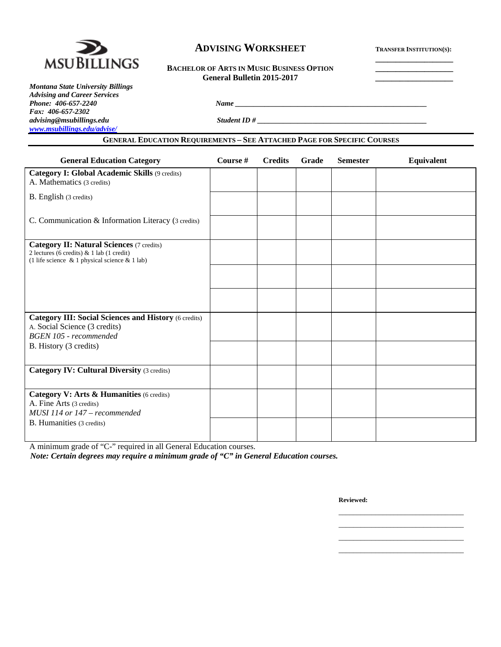

# **ADVISING WORKSHEET TRANSFER INSTITUTION(S):**

# BACHELOR OF ARTS IN MUSIC BUSINESS OPTION  **General Bulletin 2015-2017 \_\_\_\_\_\_\_\_\_\_\_\_\_\_\_\_\_\_\_**

*Montana State University Billings Advising and Career Services Fax: 406-657-2302 advising@msubillings.edu Student ID # \_\_\_\_\_\_\_\_\_\_\_\_\_\_\_\_\_\_\_\_\_\_\_\_\_\_\_\_\_\_\_\_\_\_\_\_\_\_\_\_\_\_\_\_\_\_ www.msubillings.edu/advise/*

# **GENERAL EDUCATION REQUIREMENTS – SEE ATTACHED PAGE FOR SPECIFIC COURSES**

*Phone: 406-657-2240 Name \_\_\_\_\_\_\_\_\_\_\_\_\_\_\_\_\_\_\_\_\_\_\_\_\_\_\_\_\_\_\_\_\_\_\_\_\_\_\_\_\_\_\_\_\_\_\_\_\_\_\_\_* 

| <b>General Education Category</b>                                                                                                                    | Course # | <b>Credits</b> | Grade | <b>Semester</b> | Equivalent |
|------------------------------------------------------------------------------------------------------------------------------------------------------|----------|----------------|-------|-----------------|------------|
| <b>Category I: Global Academic Skills (9 credits)</b><br>A. Mathematics (3 credits)                                                                  |          |                |       |                 |            |
| B. English (3 credits)                                                                                                                               |          |                |       |                 |            |
| C. Communication & Information Literacy (3 credits)                                                                                                  |          |                |       |                 |            |
| <b>Category II: Natural Sciences (7 credits)</b><br>2 lectures (6 credits) & 1 lab (1 credit)<br>(1 life science $\&$ 1 physical science $\&$ 1 lab) |          |                |       |                 |            |
|                                                                                                                                                      |          |                |       |                 |            |
|                                                                                                                                                      |          |                |       |                 |            |
| <b>Category III: Social Sciences and History (6 credits)</b><br>A. Social Science (3 credits)<br>BGEN 105 - recommended                              |          |                |       |                 |            |
| B. History (3 credits)                                                                                                                               |          |                |       |                 |            |
| <b>Category IV: Cultural Diversity (3 credits)</b>                                                                                                   |          |                |       |                 |            |
| Category V: Arts & Humanities (6 credits)<br>A. Fine Arts (3 credits)<br>MUSI 114 or 147 - recommended                                               |          |                |       |                 |            |
| B. Humanities (3 credits)                                                                                                                            |          |                |       |                 |            |

 $\mathcal{L}_\text{max}$  , and the contract of the contract of the contract of the contract of the contract of the contract of the contract of the contract of the contract of the contract of the contract of the contract of the contr  $\mathcal{L}_\text{max}$  , and the contract of the contract of the contract of the contract of the contract of the contract of the contract of the contract of the contract of the contract of the contract of the contract of the contr  $\mathcal{L}_\text{max}$  , and the contract of the contract of the contract of the contract of the contract of the contract of the contract of the contract of the contract of the contract of the contract of the contract of the contr  $\mathcal{L}_\text{max}$  , and the contract of the contract of the contract of the contract of the contract of the contract of the contract of the contract of the contract of the contract of the contract of the contract of the contr

A minimum grade of "C-" required in all General Education courses.

*Note: Certain degrees may require a minimum grade of "C" in General Education courses.* 

**Reviewed:**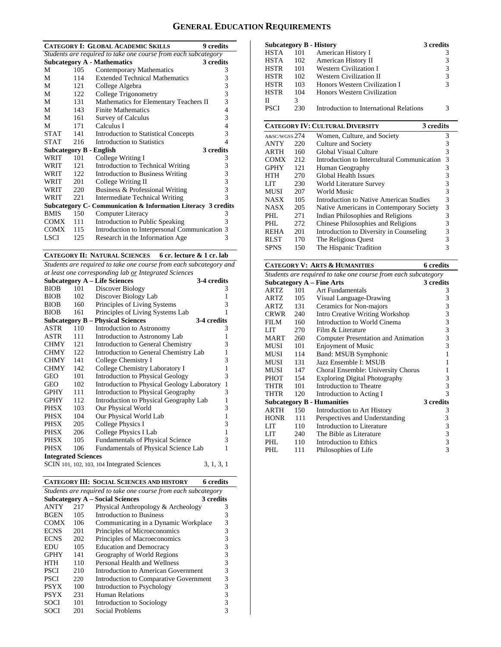# **GENERAL EDUCATION REQUIREMENTS**

| <b>CATEGORY I: GLOBAL ACADEMIC SKILLS</b><br><b>9</b> credits |                                                                |                                                               |   |  |  |  |  |
|---------------------------------------------------------------|----------------------------------------------------------------|---------------------------------------------------------------|---|--|--|--|--|
|                                                               | Students are required to take one course from each subcategory |                                                               |   |  |  |  |  |
|                                                               |                                                                | <b>Subcategory A - Mathematics</b><br>3 credits               |   |  |  |  |  |
| M                                                             | 105                                                            | Contemporary Mathematics                                      | 3 |  |  |  |  |
| М                                                             | 114                                                            | <b>Extended Technical Mathematics</b>                         | 3 |  |  |  |  |
| M                                                             | 121                                                            | College Algebra                                               | 3 |  |  |  |  |
| М                                                             | 122                                                            | College Trigonometry                                          | 3 |  |  |  |  |
| М                                                             | 131                                                            | Mathematics for Elementary Teachers II                        | 3 |  |  |  |  |
| М                                                             | 143                                                            | <b>Finite Mathematics</b>                                     | 4 |  |  |  |  |
| М                                                             | 161                                                            | <b>Survey of Calculus</b>                                     | 3 |  |  |  |  |
| М                                                             | 171                                                            | Calculus I                                                    | 4 |  |  |  |  |
| <b>STAT</b>                                                   | 141                                                            | <b>Introduction to Statistical Concepts</b>                   | 3 |  |  |  |  |
| <b>STAT</b>                                                   | 216                                                            | Introduction to Statistics                                    | 4 |  |  |  |  |
| <b>Subcategory B - English</b>                                |                                                                | 3 credits                                                     |   |  |  |  |  |
| WRIT                                                          | 101                                                            | College Writing I                                             | 3 |  |  |  |  |
| WRIT                                                          | 121                                                            | Introduction to Technical Writing                             | 3 |  |  |  |  |
| WRIT                                                          | 122.                                                           | <b>Introduction to Business Writing</b>                       | 3 |  |  |  |  |
| WRIT                                                          | 201                                                            | College Writing II                                            | 3 |  |  |  |  |
| WRIT                                                          | 220                                                            | Business & Professional Writing                               | 3 |  |  |  |  |
| WRIT                                                          | 221                                                            | <b>Intermediate Technical Writing</b>                         | 3 |  |  |  |  |
|                                                               |                                                                | Subcategory C- Communication & Information Literacy 3 credits |   |  |  |  |  |
| <b>BMIS</b>                                                   | 150                                                            | Computer Literacy                                             | 3 |  |  |  |  |
| COMX                                                          | 111                                                            | Introduction to Public Speaking                               | 3 |  |  |  |  |
| <b>COMX</b>                                                   | 115                                                            | Introduction to Interpersonal Communication 3                 |   |  |  |  |  |
| LSCI                                                          | 125                                                            | Research in the Information Age                               | 3 |  |  |  |  |

**CATEGORY II: NATURAL SCIENCES 6 cr. lecture & 1 cr. lab** 

*Students are required to take one course from each subcategory and at least one corresponding lab or Integrated Sciences* 

|                            |     | <b>Subcategory A - Life Sciences</b>        | 3-4 credits  |  |
|----------------------------|-----|---------------------------------------------|--------------|--|
| <b>BIOB</b>                | 101 | Discover Biology                            | 3            |  |
| <b>BIOB</b>                | 102 | Discover Biology Lab                        | 1            |  |
| <b>BIOB</b>                | 160 | Principles of Living Systems                | 3            |  |
| <b>BIOB</b>                | 161 | Principles of Living Systems Lab            | 1            |  |
|                            |     | <b>Subcategory B – Physical Sciences</b>    | 3-4 credits  |  |
| ASTR                       | 110 | Introduction to Astronomy                   | 3            |  |
| ASTR                       | 111 | Introduction to Astronomy Lab               | 1            |  |
| <b>CHMY</b>                | 121 | Introduction to General Chemistry           | 3            |  |
| <b>CHMY</b>                | 122 | Introduction to General Chemistry Lab       | 1            |  |
| <b>CHMY</b>                | 141 | College Chemistry I                         | 3            |  |
| <b>CHMY</b>                | 142 | College Chemistry Laboratory I              | 1            |  |
| GEO                        | 101 | Introduction to Physical Geology            | 3            |  |
| GEO                        | 102 | Introduction to Physical Geology Laboratory | $\mathbf{1}$ |  |
| <b>GPHY</b>                | 111 | Introduction to Physical Geography          | 3            |  |
| <b>GPHY</b>                | 112 | Introduction to Physical Geography Lab      | 1            |  |
| PHSX                       | 103 | Our Physical World                          | 3            |  |
| PHSX                       | 104 | Our Physical World Lab                      | 1            |  |
| PHSX                       | 205 | College Physics I                           | 3            |  |
| PHSX                       | 206 | College Physics I Lab                       | $\mathbf{1}$ |  |
| PHSX                       | 105 | <b>Fundamentals of Physical Science</b>     | 3            |  |
| <b>PHSX</b>                | 106 | Fundamentals of Physical Science Lab        | 1            |  |
| <b>Integrated Sciences</b> |     |                                             |              |  |
|                            |     | SCIN 101, 102, 103, 104 Integrated Sciences | 3, 1, 3, 1   |  |

|                                                                |                                     | 6 credits                                                                                                                          |  |  |  |  |
|----------------------------------------------------------------|-------------------------------------|------------------------------------------------------------------------------------------------------------------------------------|--|--|--|--|
| Students are required to take one course from each subcategory |                                     |                                                                                                                                    |  |  |  |  |
| <b>Subcategory A – Social Sciences</b><br>3 credits            |                                     |                                                                                                                                    |  |  |  |  |
| 217                                                            | Physical Anthropology & Archeology  | 3                                                                                                                                  |  |  |  |  |
| 105                                                            | Introduction to Business            | 3                                                                                                                                  |  |  |  |  |
| 106                                                            |                                     | 3                                                                                                                                  |  |  |  |  |
| 201                                                            | Principles of Microeconomics        | 3                                                                                                                                  |  |  |  |  |
| 202                                                            | Principles of Macroeconomics        | 3                                                                                                                                  |  |  |  |  |
| 105                                                            | <b>Education and Democracy</b>      | 3                                                                                                                                  |  |  |  |  |
| 141                                                            | Geography of World Regions          | 3                                                                                                                                  |  |  |  |  |
| 110                                                            | Personal Health and Wellness        | 3                                                                                                                                  |  |  |  |  |
| 210                                                            | Introduction to American Government | 3                                                                                                                                  |  |  |  |  |
| 220                                                            |                                     | 3                                                                                                                                  |  |  |  |  |
| 100                                                            | Introduction to Psychology          | 3                                                                                                                                  |  |  |  |  |
| 231                                                            | Human Relations                     | 3                                                                                                                                  |  |  |  |  |
| 101                                                            | <b>Introduction to Sociology</b>    | 3                                                                                                                                  |  |  |  |  |
| 201                                                            | Social Problems                     | 3                                                                                                                                  |  |  |  |  |
|                                                                |                                     | <b>CATEGORY III: SOCIAL SCIENCES AND HISTORY</b><br>Communicating in a Dynamic Workplace<br>Introduction to Comparative Government |  |  |  |  |

|             |     | <b>Subcategory B - History</b>          | 3 credits |
|-------------|-----|-----------------------------------------|-----------|
| <b>HSTA</b> | 101 | American History I                      | 3         |
| <b>HSTA</b> | 102 | American History II                     | 3         |
| <b>HSTR</b> | 101 | <b>Western Civilization I</b>           | 3         |
| <b>HSTR</b> | 102 | Western Civilization II                 | 3         |
| <b>HSTR</b> | 103 | Honors Western Civilization I           | 3         |
| <b>HSTR</b> | 104 | Honors Western Civilization             |           |
| Н           | 3   |                                         |           |
| <b>PSCI</b> | 230 | Introduction to International Relations | 3         |

|               |     | <b>CATEGORY IV: CULTURAL DIVERSITY</b><br>3 credits |   |
|---------------|-----|-----------------------------------------------------|---|
| A&SC/WGSS 274 |     | Women, Culture, and Society                         | 3 |
| <b>ANTY</b>   | 220 | Culture and Society                                 | 3 |
| <b>ARTH</b>   | 160 | Global Visual Culture                               | 3 |
| <b>COMX</b>   | 212 | Introduction to Intercultural Communication         | 3 |
| <b>GPHY</b>   | 121 | Human Geography                                     | 3 |
| <b>HTH</b>    | 270 | Global Health Issues                                | 3 |
| LIT           | 230 | World Literature Survey                             | 3 |
| <b>MUSI</b>   | 207 | World Music                                         | 3 |
| <b>NASX</b>   | 105 | <b>Introduction to Native American Studies</b>      | 3 |
| <b>NASX</b>   | 205 | Native Americans in Contemporary Society            | 3 |
| PHL           | 271 | Indian Philosophies and Religions                   | 3 |
| PHL           | 272 | Chinese Philosophies and Religions                  | 3 |
| <b>REHA</b>   | 201 | Introduction to Diversity in Counseling             | 3 |
| <b>RLST</b>   | 170 | The Religious Quest                                 | 3 |
| <b>SPNS</b>   | 150 | The Hispanic Tradition                              | 3 |

#### **CATEGORY V: ARTS & HUMANITIES 6 credits**  *Students are required to take one course from each subcategory* **Subcategory A – Fine Arts 3 credits**  ARTZ 101 Art Fundamentals 3 ARTZ 105 Visual Language-Drawing 3 ARTZ 131 Ceramics for Non-majors 3 CRWR 240 Intro Creative Writing Workshop 3 FILM 160 Introduction to World Cinema 3 LIT 270 Film & Literature 3 MART 260 Computer Presentation and Animation 3 MUSI 101 Enjoyment of Music 3<br>MUSI 114 Band: MSUB Symphonic 1 Band: MSUB Symphonic MUSI 131 Jazz Ensemble I: MSUB 1 MUSI 147 Choral Ensemble: University Chorus 1<br>PHOT 154 Exploring Digital Photography 3 PHOT 154 Exploring Digital Photography 3<br>THTR 101 Introduction to Theatre 3 Introduction to Theatre THTR 120 Introduction to Acting I 3<br> **Subcategory B - Humanities** 3 credits **Subcategory B - Humanities<br>ARTH** 150 Introduction Introduction to Art History 3 HONR 111 Perspectives and Understanding 3<br>LIT 110 Introduction to Literature 3 LIT 110 Introduction to Literature 3<br>
LIT 240 The Bible as Literature 3 The Bible as Literature 3<br>Introduction to Ethics 3 PHL 110 Introduction to Ethics 3<br>PHL 111 Philosophies of Life 3 111 Philosophies of Life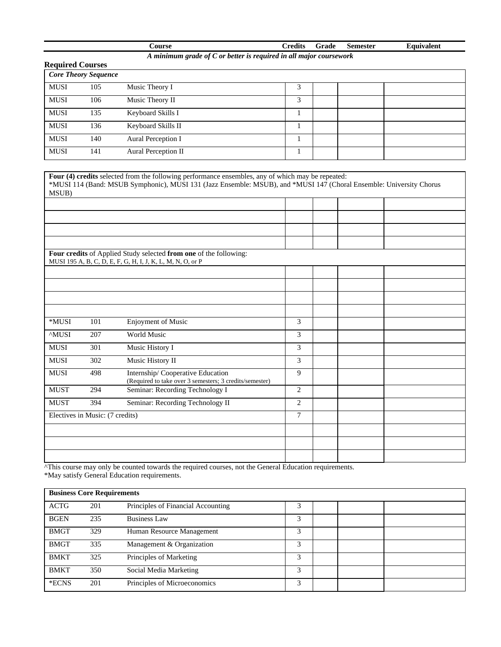| Course                                                             |  |  | Credits Grade Semester | Equivalent |  |  |
|--------------------------------------------------------------------|--|--|------------------------|------------|--|--|
| A minimum grade of C or better is required in all major coursework |  |  |                        |            |  |  |

|                         |                             |                     | A minimum graae of C or better is required in all major coursework |  |  |
|-------------------------|-----------------------------|---------------------|--------------------------------------------------------------------|--|--|
| <b>Required Courses</b> |                             |                     |                                                                    |  |  |
|                         | <b>Core Theory Sequence</b> |                     |                                                                    |  |  |
| <b>MUSI</b>             | 105                         | Music Theory I      | 3                                                                  |  |  |
| <b>MUSI</b>             | 106                         | Music Theory II     | 3                                                                  |  |  |
| <b>MUSI</b>             | 135                         | Keyboard Skills I   |                                                                    |  |  |
| <b>MUSI</b>             | 136                         | Keyboard Skills II  |                                                                    |  |  |
| <b>MUSI</b>             | 140                         | Aural Perception I  |                                                                    |  |  |
| <b>MUSI</b>             | 141                         | Aural Perception II |                                                                    |  |  |

| MSUB)                           |     | Four (4) credits selected from the following performance ensembles, any of which may be repeated:<br>*MUSI 114 (Band: MSUB Symphonic), MUSI 131 (Jazz Ensemble: MSUB), and *MUSI 147 (Choral Ensemble: University Chorus |                |  |  |
|---------------------------------|-----|--------------------------------------------------------------------------------------------------------------------------------------------------------------------------------------------------------------------------|----------------|--|--|
|                                 |     |                                                                                                                                                                                                                          |                |  |  |
|                                 |     |                                                                                                                                                                                                                          |                |  |  |
|                                 |     |                                                                                                                                                                                                                          |                |  |  |
|                                 |     |                                                                                                                                                                                                                          |                |  |  |
|                                 |     |                                                                                                                                                                                                                          |                |  |  |
|                                 |     | Four credits of Applied Study selected from one of the following:<br>MUSI 195 A, B, C, D, E, F, G, H, I, J, K, L, M, N, O, or P                                                                                          |                |  |  |
|                                 |     |                                                                                                                                                                                                                          |                |  |  |
|                                 |     |                                                                                                                                                                                                                          |                |  |  |
|                                 |     |                                                                                                                                                                                                                          |                |  |  |
|                                 |     |                                                                                                                                                                                                                          |                |  |  |
| *MUSI                           | 101 | Enjoyment of Music                                                                                                                                                                                                       | 3              |  |  |
| <b>AMUSI</b>                    | 207 | <b>World Music</b>                                                                                                                                                                                                       | 3              |  |  |
| ${\rm MUSI}$                    | 301 | Music History I                                                                                                                                                                                                          | 3              |  |  |
| <b>MUSI</b>                     | 302 | Music History II                                                                                                                                                                                                         | 3              |  |  |
| <b>MUSI</b>                     | 498 | Internship/Cooperative Education<br>(Required to take over 3 semesters; 3 credits/semester)                                                                                                                              | 9              |  |  |
| <b>MUST</b>                     | 294 | Seminar: Recording Technology I                                                                                                                                                                                          | 2              |  |  |
| <b>MUST</b>                     | 394 | Seminar: Recording Technology II                                                                                                                                                                                         | 2              |  |  |
| Electives in Music: (7 credits) |     |                                                                                                                                                                                                                          | $\overline{7}$ |  |  |
|                                 |     |                                                                                                                                                                                                                          |                |  |  |
|                                 |     |                                                                                                                                                                                                                          |                |  |  |
|                                 |     |                                                                                                                                                                                                                          |                |  |  |

^This course may only be counted towards the required courses, not the General Education requirements.

\*May satisfy General Education requirements.

| <b>Business Core Requirements</b> |     |                                    |   |  |  |  |
|-----------------------------------|-----|------------------------------------|---|--|--|--|
| <b>ACTG</b>                       | 201 | Principles of Financial Accounting |   |  |  |  |
| <b>BGEN</b>                       | 235 | <b>Business Law</b>                | 3 |  |  |  |
| <b>BMGT</b>                       | 329 | Human Resource Management          | 3 |  |  |  |
| <b>BMGT</b>                       | 335 | Management & Organization          | 3 |  |  |  |
| <b>BMKT</b>                       | 325 | Principles of Marketing            | 3 |  |  |  |
| <b>BMKT</b>                       | 350 | Social Media Marketing             | 3 |  |  |  |
| *ECNS                             | 201 | Principles of Microeconomics       | 3 |  |  |  |